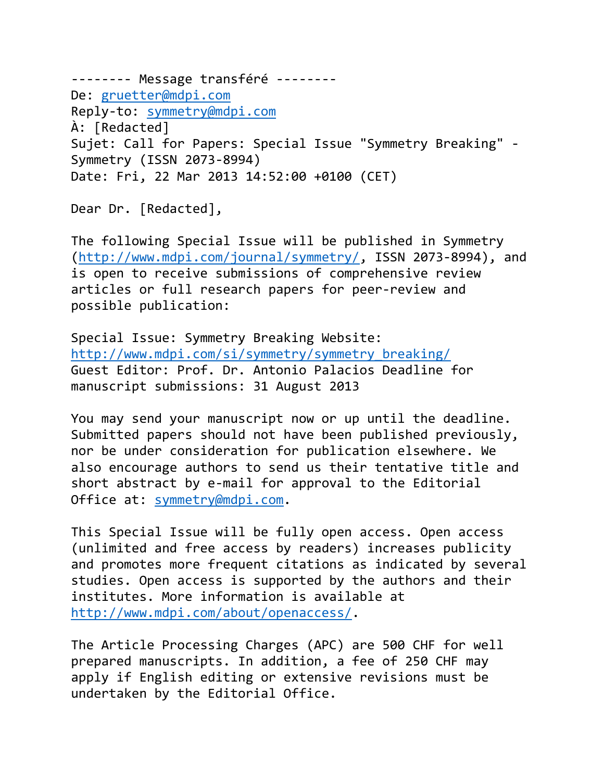-------- Message transféré -------- De: [gruetter@mdpi.com](mailto:gruetter@mdpi.com) Reply-to: [symmetry@mdpi.com](mailto:symmetry@mdpi.com) À: [Redacted] Sujet: Call for Papers: Special Issue "Symmetry Breaking" - Symmetry (ISSN 2073-8994) Date: Fri, 22 Mar 2013 14:52:00 +0100 (CET)

Dear Dr. [Redacted],

The following Special Issue will be published in Symmetry [\(http://www.mdpi.com/journal/symmetry/,](http://www.mdpi.com/journal/symmetry/) ISSN 2073-8994), and is open to receive submissions of comprehensive review articles or full research papers for peer-review and possible publication:

Special Issue: Symmetry Breaking Website: [http://www.mdpi.com/si/symmetry/symmetry\\_breaking/](http://www.mdpi.com/si/symmetry/symmetry_breaking/) Guest Editor: Prof. Dr. Antonio Palacios Deadline for manuscript submissions: 31 August 2013

You may send your manuscript now or up until the deadline. Submitted papers should not have been published previously, nor be under consideration for publication elsewhere. We also encourage authors to send us their tentative title and short abstract by e-mail for approval to the Editorial Office at: [symmetry@mdpi.com.](mailto:symmetry@mdpi.com)

This Special Issue will be fully open access. Open access (unlimited and free access by readers) increases publicity and promotes more frequent citations as indicated by several studies. Open access is supported by the authors and their institutes. More information is available at [http://www.mdpi.com/about/openaccess/.](http://www.mdpi.com/about/openaccess/)

The Article Processing Charges (APC) are 500 CHF for well prepared manuscripts. In addition, a fee of 250 CHF may apply if English editing or extensive revisions must be undertaken by the Editorial Office.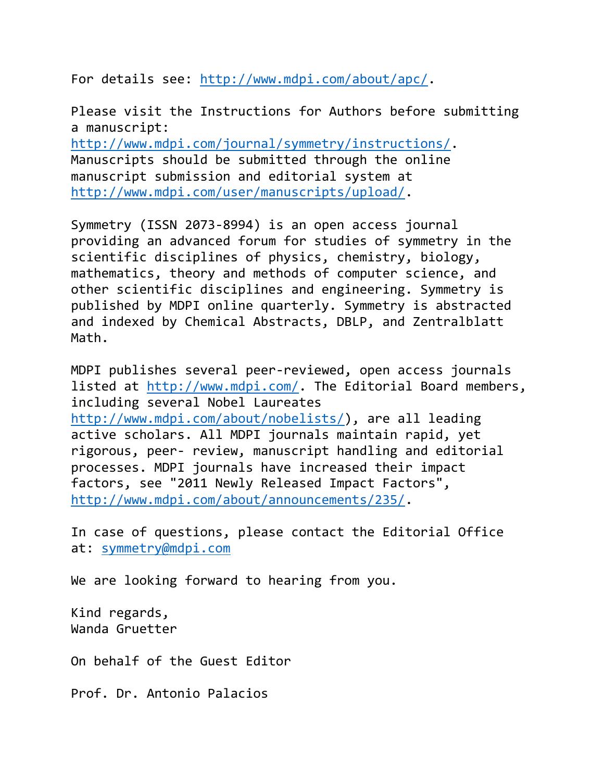For details see: [http://www.mdpi.com/about/apc/.](http://www.mdpi.com/about/apc/)

Please visit the Instructions for Authors before submitting a manuscript: [http://www.mdpi.com/journal/symmetry/instructions/.](http://www.mdpi.com/journal/symmetry/instructions/) Manuscripts should be submitted through the online manuscript submission and editorial system at

[http://www.mdpi.com/user/manuscripts/upload/.](http://www.mdpi.com/user/manuscripts/upload/)

Symmetry (ISSN 2073-8994) is an open access journal providing an advanced forum for studies of symmetry in the scientific disciplines of physics, chemistry, biology, mathematics, theory and methods of computer science, and other scientific disciplines and engineering. Symmetry is published by MDPI online quarterly. Symmetry is abstracted and indexed by Chemical Abstracts, DBLP, and Zentralblatt Math.

MDPI publishes several peer-reviewed, open access journals listed at [http://www.mdpi.com/.](http://www.mdpi.com/) The Editorial Board members, including several Nobel Laureates [http://www.mdpi.com/about/nobelists/\)](http://www.mdpi.com/about/nobelists/), are all leading active scholars. All MDPI journals maintain rapid, yet rigorous, peer- review, manuscript handling and editorial processes. MDPI journals have increased their impact factors, see "2011 Newly Released Impact Factors", [http://www.mdpi.com/about/announcements/235/.](http://www.mdpi.com/about/announcements/235/)

In case of questions, please contact the Editorial Office at: [symmetry@mdpi.com](mailto:symmetry@mdpi.com)

We are looking forward to hearing from you.

Kind regards, Wanda Gruetter

On behalf of the Guest Editor

Prof. Dr. Antonio Palacios